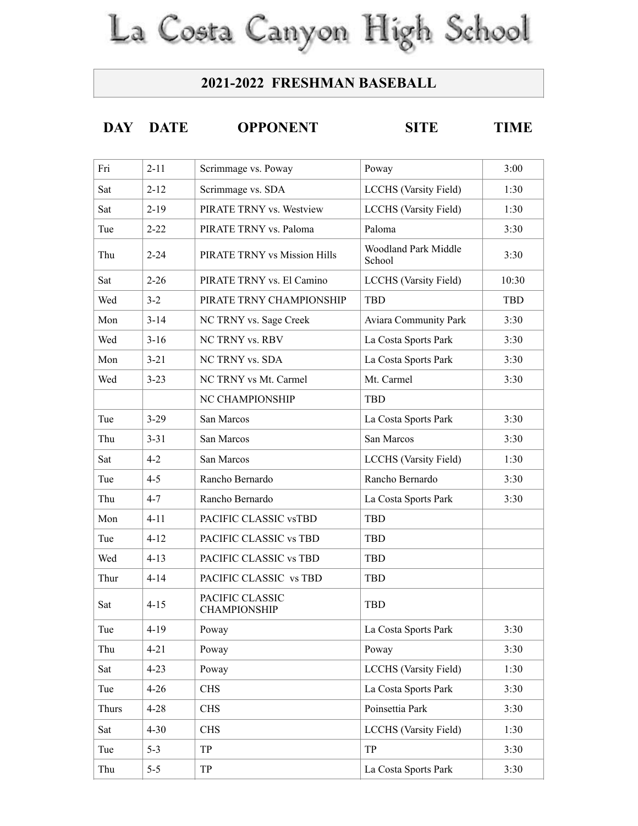## La Costa Canyon High School

## **2021-2022 FRESHMAN BASEBALL**

## **DAY DATE OPPONENT SITE TIME**

| Fri   | $2 - 11$ | Scrimmage vs. Poway                    | Poway                                 | 3:00       |
|-------|----------|----------------------------------------|---------------------------------------|------------|
| Sat   | $2 - 12$ | Scrimmage vs. SDA                      | <b>LCCHS</b> (Varsity Field)          | 1:30       |
| Sat   | $2 - 19$ | PIRATE TRNY vs. Westview               | <b>LCCHS</b> (Varsity Field)          | 1:30       |
| Tue   | $2 - 22$ | PIRATE TRNY vs. Paloma                 | Paloma                                | 3:30       |
| Thu   | $2 - 24$ | PIRATE TRNY vs Mission Hills           | <b>Woodland Park Middle</b><br>School | 3:30       |
| Sat   | $2 - 26$ | PIRATE TRNY vs. El Camino              | <b>LCCHS</b> (Varsity Field)          | 10:30      |
| Wed   | $3 - 2$  | PIRATE TRNY CHAMPIONSHIP               | TBD                                   | <b>TBD</b> |
| Mon   | $3 - 14$ | NC TRNY vs. Sage Creek                 | Aviara Community Park                 | 3:30       |
| Wed   | $3 - 16$ | NC TRNY vs. RBV                        | La Costa Sports Park                  | 3:30       |
| Mon   | $3 - 21$ | NC TRNY vs. SDA                        | La Costa Sports Park                  | 3:30       |
| Wed   | $3 - 23$ | NC TRNY vs Mt. Carmel                  | Mt. Carmel                            | 3:30       |
|       |          | NC CHAMPIONSHIP                        | <b>TBD</b>                            |            |
| Tue   | $3 - 29$ | San Marcos                             | La Costa Sports Park                  | 3:30       |
| Thu   | $3 - 31$ | San Marcos                             | San Marcos                            | 3:30       |
| Sat   | $4 - 2$  | San Marcos                             | <b>LCCHS</b> (Varsity Field)          | 1:30       |
| Tue   | $4 - 5$  | Rancho Bernardo                        | Rancho Bernardo                       | 3:30       |
| Thu   | $4 - 7$  | Rancho Bernardo                        | La Costa Sports Park                  | 3:30       |
| Mon   | $4 - 11$ | PACIFIC CLASSIC vsTBD                  | <b>TBD</b>                            |            |
| Tue   | $4 - 12$ | PACIFIC CLASSIC vs TBD                 | TBD                                   |            |
| Wed   | $4 - 13$ | PACIFIC CLASSIC vs TBD                 | <b>TBD</b>                            |            |
| Thur  | $4 - 14$ | PACIFIC CLASSIC vs TBD                 | <b>TBD</b>                            |            |
| Sat   | $4 - 15$ | PACIFIC CLASSIC<br><b>CHAMPIONSHIP</b> | <b>TBD</b>                            |            |
| Tue   | $4 - 19$ | Poway                                  | La Costa Sports Park                  | 3:30       |
| Thu   | $4 - 21$ | Poway                                  | Poway                                 | 3:30       |
| Sat   | $4 - 23$ | Poway                                  | <b>LCCHS</b> (Varsity Field)          | 1:30       |
| Tue   | $4 - 26$ | <b>CHS</b>                             | La Costa Sports Park                  | 3:30       |
| Thurs | $4 - 28$ | <b>CHS</b>                             | Poinsettia Park                       | 3:30       |
| Sat   | $4 - 30$ | <b>CHS</b>                             | <b>LCCHS</b> (Varsity Field)          | 1:30       |
| Tue   | $5 - 3$  | TP                                     | TP                                    | 3:30       |
| Thu   | $5-5$    | TP                                     | La Costa Sports Park                  | 3:30       |